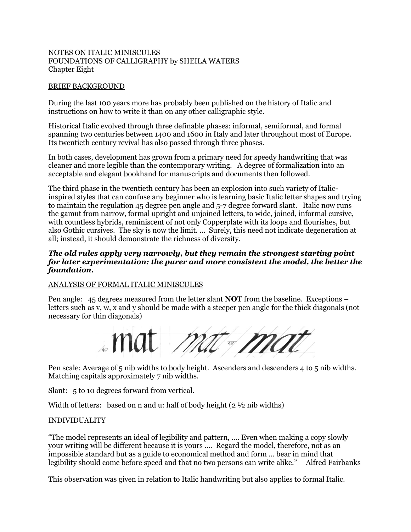### NOTES ON ITALIC MINISCULES FOUNDATIONS OF CALLIGRAPHY by SHEILA WATERS Chapter Eight

### BRIEF BACKGROUND

During the last 100 years more has probably been published on the history of Italic and instructions on how to write it than on any other calligraphic style.

Historical Italic evolved through three definable phases: informal, semiformal, and formal spanning two centuries between 1400 and 1600 in Italy and later throughout most of Europe. Its twentieth century revival has also passed through three phases.

In both cases, development has grown from a primary need for speedy handwriting that was cleaner and more legible than the contemporary writing. A degree of formalization into an acceptable and elegant bookhand for manuscripts and documents then followed.

The third phase in the twentieth century has been an explosion into such variety of Italicinspired styles that can confuse any beginner who is learning basic Italic letter shapes and trying to maintain the regulation 45 degree pen angle and 5-7 degree forward slant. Italic now runs the gamut from narrow, formal upright and unjoined letters, to wide, joined, informal cursive, with countless hybrids, reminiscent of not only Copperplate with its loops and flourishes, but also Gothic cursives. The sky is now the limit. … Surely, this need not indicate degeneration at all; instead, it should demonstrate the richness of diversity.

### *The old rules apply very narrowly, but they remain the strongest starting point for later experimentation: the purer and more consistent the model, the better the foundation.*

### ANALYSIS OF FORMAL ITALIC MINISCULES

Pen angle: 45 degrees measured from the letter slant **NOT** from the baseline. Exceptions – letters such as v, w, x and y should be made with a steeper pen angle for the thick diagonals (not necessary for thin diagonals)

.mat mat ma

Pen scale: Average of 5 nib widths to body height. Ascenders and descenders 4 to 5 nib widths. Matching capitals approximately 7 nib widths.

Slant: 5 to 10 degrees forward from vertical.

Width of letters: based on n and u: half of body height  $(2 \frac{1}{2})$  nib widths)

### INDIVIDUALITY

"The model represents an ideal of legibility and pattern, …. Even when making a copy slowly your writing will be different because it is yours …. Regard the model, therefore, not as an impossible standard but as a guide to economical method and form … bear in mind that legibility should come before speed and that no two persons can write alike." Alfred Fairbanks

This observation was given in relation to Italic handwriting but also applies to formal Italic.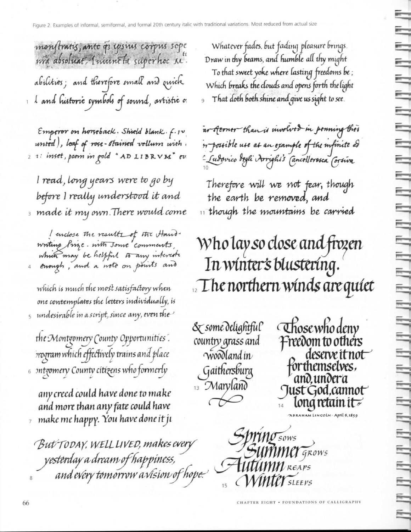monstratis, ante que insinis corpus sope nva absoluat, Iniuneta superhoc su. abilities; and therefore small and quick  $\frac{1}{\sqrt{2}}$  and historic symbols of sound, artistic or

 $\epsilon$ mperor on horseback. Shield blank. f.1v uni<del>ed</del>), leaf of roce-stained vellum with . 2 1: inset, poem in gold "AD LIBRVM" ev.

I read, long years were to go by before I really understood it and  $_\mathrm{\tiny{3}}$  made it my own.There would come

I enclose the results of the Hand-<br>writing Prize. with Jonne comments, which may be helpful to any interest

which is much the most satisfactory when one contemplates the letters individually, is  $_5$  undesirable in a script, since any, even the  $^\prime$ 

the Montgomery County Opportunities . rrogram which effectively trains and place  $_{\circ}\,$  sntgomery County citizens who formerly

any creed could have done to make and more than any fate could have  $_7$  make me happy. You have done it ji

But TODAY, WELL LIVED, makes every yesterday a dream of happiness,<br>and every tomorrow a vision of hope.

Whatever fades, but fading pleasure brings. Draw in thy beams, and humble all thy might To that sweet yoke where lasting freedoms be ; Which breaks the clouds and opens forth the light That doth both shine and give us sight to see.

53

⊟

 $\overline{\phantom{a}}$ 

▀

 $\overline{=}$ 

Ī

=

 $\equiv$ 

 $\equiv$ 

 $\equiv$ 

 $\equiv$ 

 $\equiv$ 

Ī

5

⊟

5

═

≒

₹

₹

≒

Ľ

≡

Ē

=

E

₩

═

E

E

ar sterner than is involved in penning ther re possible use as an example of the mfinite ad - Sudovico degli Arrighis Cancellerosca Corsiva

Therefore will we not fear, though the earth be removed, and 11 though the mountains be carried

# Who lay so close and frozen In winter's blustering.  $\sim$  The northern winds are quiet

& some delightful country grass and woodland in Gaithersburg <sup>13</sup> Maryland  $\rightsquigarrow$ 

Those who deny Freedom to others deserve it not forthemselves, and.undera Just God, cannot long retain it  $\overline{\mathscr{E}}$ HAM LINCOLN · April 6,1859

Springsows<br>Summer grows **Hutumn** REAPS *MINTET* SLEEPS

CHAPTER EIGHT . FOUNDATIONS OF CALLIGRAPHY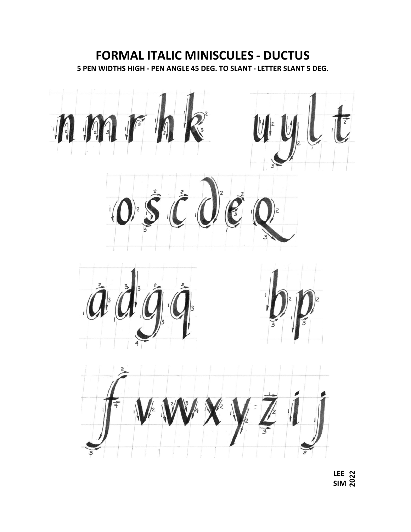## **FORMAL ITALIC MINISCULES - DUCTUS 5 PEN WIDTHS HIGH - PEN ANGLE 45 DEG. TO SLANT - LETTER SLANT 5 DEG**.



**LEE** LEE 22<br>SIM 22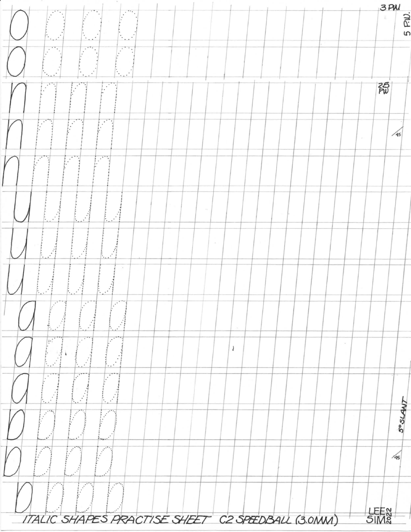